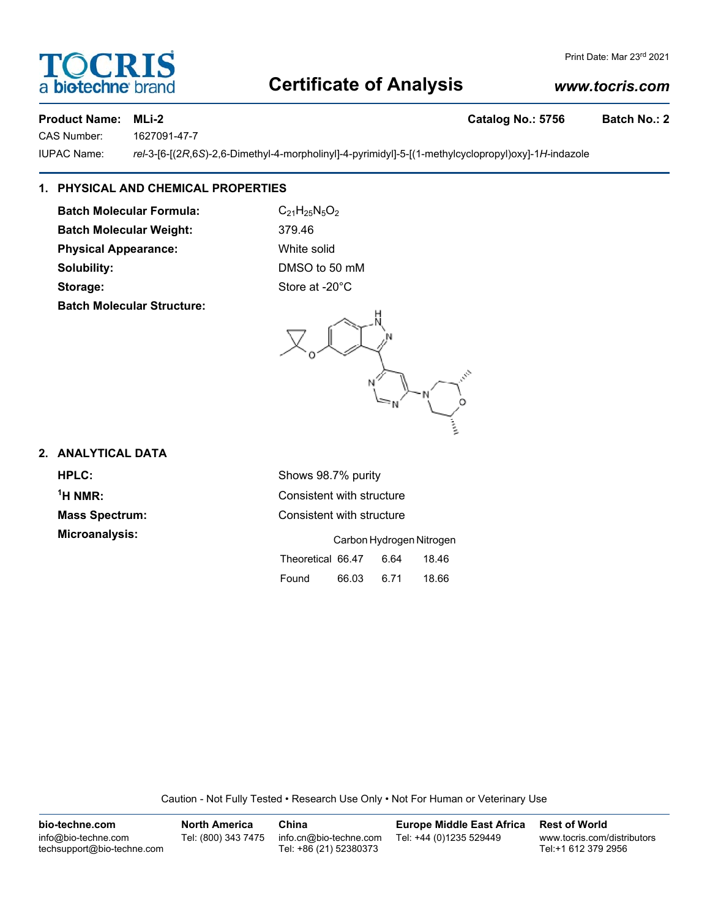## **Certificate of Analysis**

#### *www.tocris.com*

**Product Name: MLi-2 Catalog No.: 5756 Batch No.: 2**

CAS Number: 1627091-47-7

IUPAC Name: *rel*-3-[6-[(2*R*,6*S*)-2,6-Dimethyl-4-morpholinyl]-4-pyrimidyl]-5-[(1-methylcyclopropyl)oxy]-1*H*-indazole

### **1. PHYSICAL AND CHEMICAL PROPERTIES**

**Batch Molecular Formula:** C<sub>21</sub>H<sub>25</sub>N<sub>5</sub>O<sub>2</sub> **Batch Molecular Weight:** 379.46 **Physical Appearance:** White solid **Solubility:** DMSO to 50 mM Storage: Storage: Store at -20°C **Batch Molecular Structure:**

#### **2. ANALYTICAL DATA**

 $<sup>1</sup>H NMR$ :</sup>

**HPLC:** Shows 98.7% purity **Consistent with structure Mass Spectrum:** Consistent with structure **Microanalysis:** Carbon Hydrogen Nitrogen Theoretical 66.47 6.64 18.46 Found 66.03 6.71 18.66

Caution - Not Fully Tested • Research Use Only • Not For Human or Veterinary Use

| bio-techne.com                                    | <b>North America</b> | China                                            | <b>Europe Middle East Africa</b> | <b>Rest of World</b>                               |
|---------------------------------------------------|----------------------|--------------------------------------------------|----------------------------------|----------------------------------------------------|
| info@bio-techne.com<br>techsupport@bio-techne.com | Tel: (800) 343 7475  | info.cn@bio-techne.com<br>Tel: +86 (21) 52380373 | Tel: +44 (0)1235 529449          | www.tocris.com/distributors<br>Tel:+1 612 379 2956 |



Print Date: Mar 23rd 2021